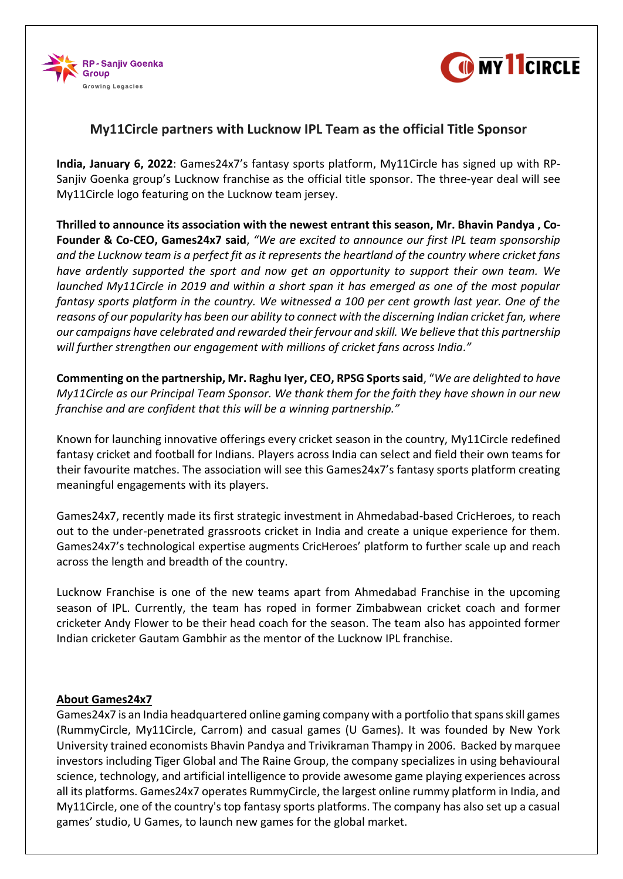



## **My11Circle partners with Lucknow IPL Team as the official Title Sponsor**

**India, January 6, 2022**: Games24x7's fantasy sports platform, My11Circle has signed up with RP-Sanjiv Goenka group's Lucknow franchise as the official title sponsor. The three-year deal will see My11Circle logo featuring on the Lucknow team jersey.

**Thrilled to announce its association with the newest entrant this season, Mr. Bhavin Pandya , Co-Founder & Co-CEO, Games24x7 said**, *"We are excited to announce our first IPL team sponsorship and the Lucknow team is a perfect fit as it represents the heartland of the country where cricket fans have ardently supported the sport and now get an opportunity to support their own team. We launched My11Circle in 2019 and within a short span it has emerged as one of the most popular fantasy sports platform in the country. We witnessed a 100 per cent growth last year. One of the reasons of our popularity has been our ability to connect with the discerning Indian cricket fan, where our campaigns have celebrated and rewarded their fervour and skill. We believe that this partnership will further strengthen our engagement with millions of cricket fans across India*.*"*

**Commenting on the partnership, Mr. Raghu Iyer, CEO, RPSG Sports said**, "*We are delighted to have My11Circle as our Principal Team Sponsor. We thank them for the faith they have shown in our new franchise and are confident that this will be a winning partnership."*

Known for launching innovative offerings every cricket season in the country, My11Circle redefined fantasy cricket and football for Indians. Players across India can select and field their own teams for their favourite matches. The association will see this Games24x7's fantasy sports platform creating meaningful engagements with its players.

Games24x7, recently made its first strategic investment in Ahmedabad-based CricHeroes, to reach out to the under-penetrated grassroots cricket in India and create a unique experience for them. Games24x7's technological expertise augments CricHeroes' platform to further scale up and reach across the length and breadth of the country.

Lucknow Franchise is one of the new teams apart from Ahmedabad Franchise in the upcoming season of IPL. Currently, the team has roped in former Zimbabwean cricket coach and former cricketer Andy Flower to be their head coach for the season. The team also has appointed former Indian cricketer Gautam Gambhir as the mentor of the Lucknow IPL franchise.

## **About Games24x7**

Games24x7 is an India headquartered online gaming company with a portfolio that spans skill games (RummyCircle, My11Circle, Carrom) and casual games (U Games). It was founded by New York University trained economists Bhavin Pandya and Trivikraman Thampy in 2006. Backed by marquee investors including Tiger Global and The Raine Group, the company specializes in using behavioural science, technology, and artificial intelligence to provide awesome game playing experiences across all its platforms. Games24x7 operates RummyCircle, the largest online rummy platform in India, and My11Circle, one of the country's top fantasy sports platforms. The company has also set up a casual games' studio, U Games, to launch new games for the global market.